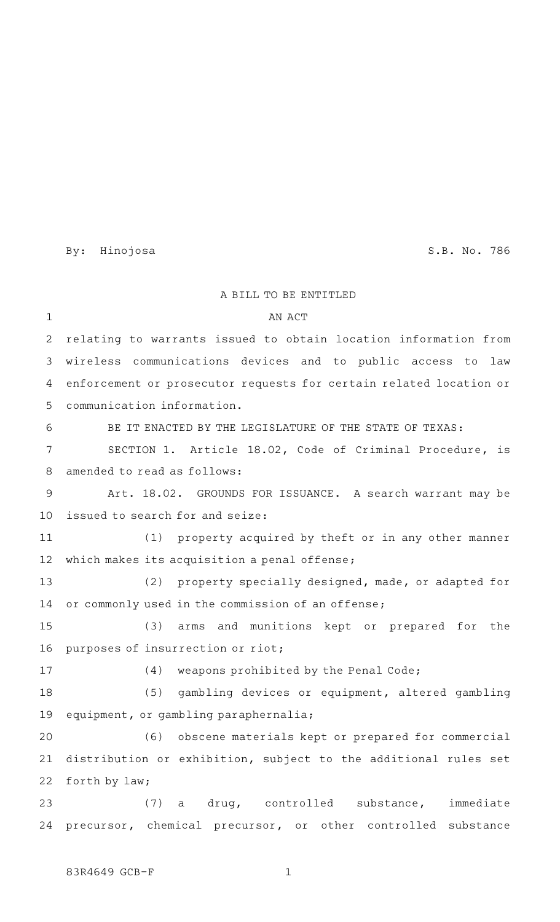By: Hinojosa S.B. No. 786

A BILL TO BE ENTITLED AN ACT relating to warrants issued to obtain location information from wireless communications devices and to public access to law enforcement or prosecutor requests for certain related location or communication information. BE IT ENACTED BY THE LEGISLATURE OF THE STATE OF TEXAS: SECTION 1. Article 18.02, Code of Criminal Procedure, is amended to read as follows: Art. 18.02. GROUNDS FOR ISSUANCE. A search warrant may be issued to search for and seize:  $(1)$  property acquired by theft or in any other manner which makes its acquisition a penal offense; (2) property specially designed, made, or adapted for or commonly used in the commission of an offense; (3) arms and munitions kept or prepared for the purposes of insurrection or riot;  $(4)$  weapons prohibited by the Penal Code; (5) gambling devices or equipment, altered gambling equipment, or gambling paraphernalia; (6) obscene materials kept or prepared for commercial distribution or exhibition, subject to the additional rules set forth by law; (7) a drug, controlled substance, immediate precursor, chemical precursor, or other controlled substance 1 2 3 4 5 6 7 8 9 10 11 12 13 14 15 16 17 18 19 20 21 22 23 24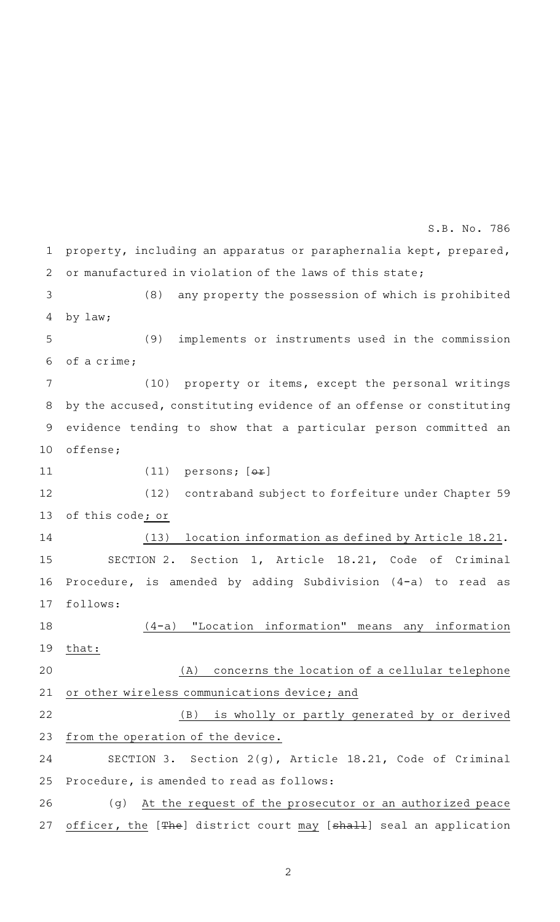property, including an apparatus or paraphernalia kept, prepared, or manufactured in violation of the laws of this state;  $(8)$  any property the possession of which is prohibited by law; (9) implements or instruments used in the commission of a crime; (10) property or items, except the personal writings by the accused, constituting evidence of an offense or constituting evidence tending to show that a particular person committed an offense; (11)  $persons; [\theta \pm]$ (12) contraband subject to forfeiture under Chapter 59 of this code; or (13) location information as defined by Article 18.21. SECTION 2. Section 1, Article 18.21, Code of Criminal Procedure, is amended by adding Subdivision (4-a) to read as follows: (4-a) "Location information" means any information that: (A) concerns the location of a cellular telephone or other wireless communications device; and (B) is wholly or partly generated by or derived from the operation of the device. SECTION 3. Section 2(g), Article 18.21, Code of Criminal Procedure, is amended to read as follows: (g) At the request of the prosecutor or an authorized peace officer, the [The] district court may [shall] seal an application 1 2 3 4 5 6 7 8 9 10 11 12 13 14 15 16 17 18 19 20 21 22 23 24 25 26 27 S.B. No. 786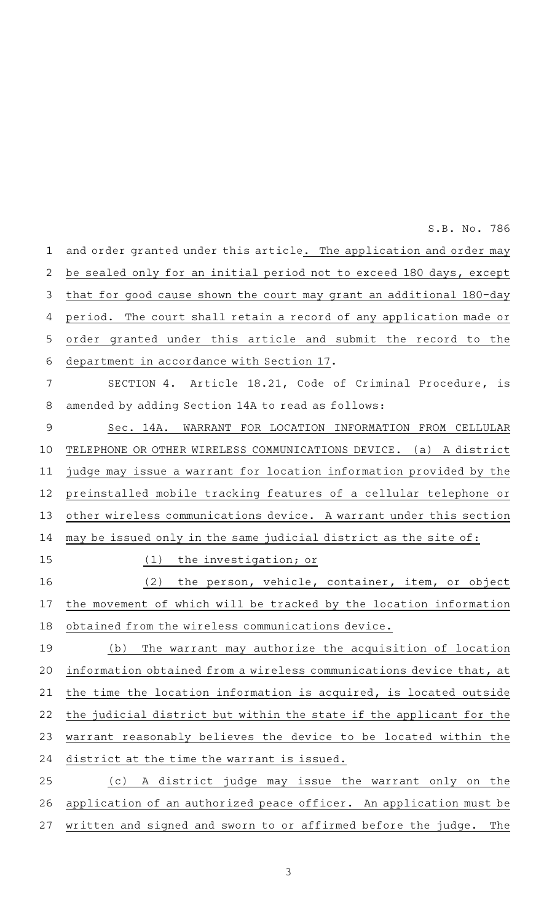S.B. No. 786

| $\mathbf 1$    | and order granted under this article. The application and order may  |
|----------------|----------------------------------------------------------------------|
| $\overline{2}$ | be sealed only for an initial period not to exceed 180 days, except  |
| 3              | that for good cause shown the court may grant an additional 180-day  |
| 4              | period. The court shall retain a record of any application made or   |
| 5              | order granted under this article and submit the record to the        |
| 6              | department in accordance with Section 17.                            |
| 7              | SECTION 4. Article 18.21, Code of Criminal Procedure, is             |
| 8              | amended by adding Section 14A to read as follows:                    |
| $\mathsf 9$    | Sec. 14A. WARRANT FOR LOCATION INFORMATION FROM CELLULAR             |
| 10             | TELEPHONE OR OTHER WIRELESS COMMUNICATIONS DEVICE. (a) A district    |
| 11             | judge may issue a warrant for location information provided by the   |
| 12             | preinstalled mobile tracking features of a cellular telephone or     |
| 13             | other wireless communications device. A warrant under this section   |
| 14             | may be issued only in the same judicial district as the site of:     |
| 15             | (1)<br>the investigation; or                                         |
| 16             | (2)<br>the person, vehicle, container, item, or object               |
| 17             | the movement of which will be tracked by the location information    |
| 18             | obtained from the wireless communications device.                    |
| 19             | (b) The warrant may authorize the acquisition of location            |
| 20             | information obtained from a wireless communications device that, at  |
| 21             | the time the location information is acquired, is located outside    |
| 22             | the judicial district but within the state if the applicant for the  |
| 23             | warrant reasonably believes the device to be located within the      |
| 24             | district at the time the warrant is issued.                          |
| 25             | A district judge may issue the warrant only on the<br>( C )          |
| 26             | application of an authorized peace officer. An application must be   |
| 27             | written and signed and sworn to or affirmed before the judge.<br>The |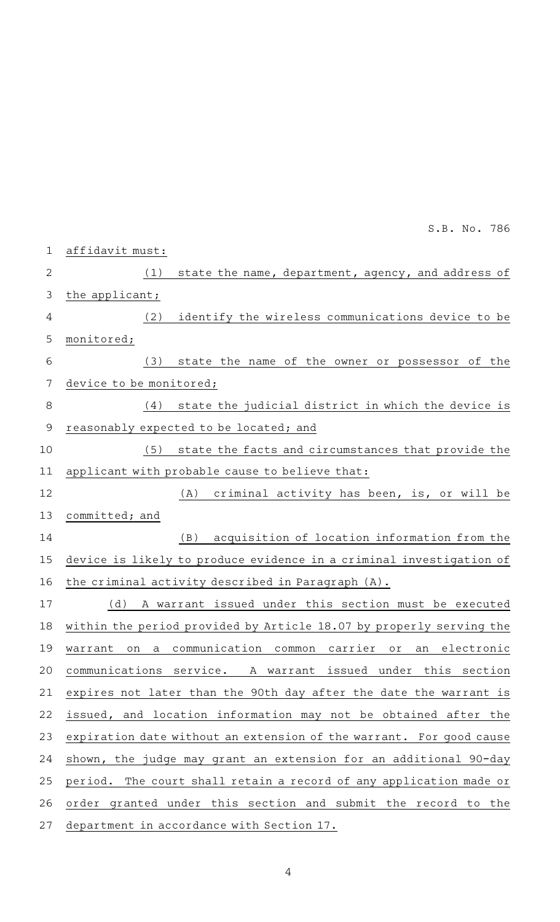affidavit must:  $(1)$  state the name, department, agency, and address of the applicant; (2) identify the wireless communications device to be monitored; (3) state the name of the owner or possessor of the device to be monitored; (4) state the judicial district in which the device is reasonably expected to be located; and (5) state the facts and circumstances that provide the applicant with probable cause to believe that:  $(A)$  criminal activity has been, is, or will be committed; and (B) acquisition of location information from the device is likely to produce evidence in a criminal investigation of the criminal activity described in Paragraph (A). (d)AAA warrant issued under this section must be executed within the period provided by Article 18.07 by properly serving the warrant on a communication common carrier or an electronic communications service. A warrant issued under this section expires not later than the 90th day after the date the warrant is issued, and location information may not be obtained after the expiration date without an extension of the warrant. For good cause shown, the judge may grant an extension for an additional 90-day period. The court shall retain a record of any application made or order granted under this section and submit the record to the department in accordance with Section 17. 1 2 3 4 5 6 7 8 9 10 11 12 13 14 15 16 17 18 19 20 21 22 23 24 25 26 27 S.B. No. 786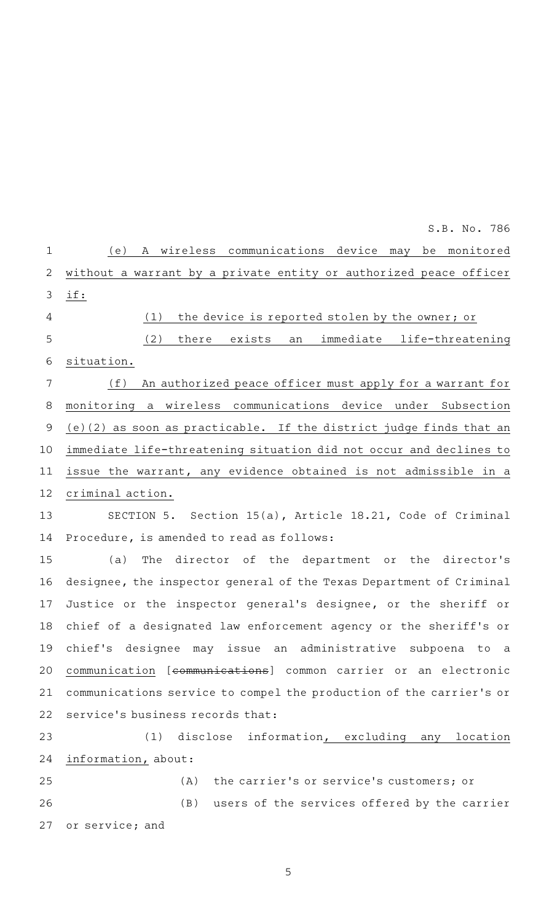|              | S.B. No. 786                                                        |
|--------------|---------------------------------------------------------------------|
| $\mathbf{1}$ | A wireless communications device may be monitored<br>(e)            |
| 2            | without a warrant by a private entity or authorized peace officer   |
| 3            | if:                                                                 |
| 4            | the device is reported stolen by the owner; or<br>(1)               |
| 5            | (2)<br>exists<br>immediate life-threatening<br>there<br>an          |
| 6            | situation.                                                          |
| 7            | (f)<br>An authorized peace officer must apply for a warrant for     |
| 8            | monitoring a wireless communications device under Subsection        |
| $\mathsf 9$  | (e)(2) as soon as practicable. If the district judge finds that an  |
| 10           | immediate life-threatening situation did not occur and declines to  |
| 11           | issue the warrant, any evidence obtained is not admissible in a     |
| 12           | criminal action.                                                    |
| 13           | SECTION 5. Section 15(a), Article 18.21, Code of Criminal           |
| 14           | Procedure, is amended to read as follows:                           |
| 15           | The director of the department or the director's<br>(a)             |
| 16           | designee, the inspector general of the Texas Department of Criminal |
| 17           | Justice or the inspector general's designee, or the sheriff or      |
| 18           | chief of a designated law enforcement agency or the sheriff's or    |
| 19           | chief's designee may issue an administrative subpoena to a          |
| 20           | communication [communications] common carrier or an electronic      |
| 21           | communications service to compel the production of the carrier's or |
| 22           | service's business records that:                                    |
| 23           | (1) disclose information, excluding any location                    |
| 24           | information, about:                                                 |
| 25           | the carrier's or service's customers; or<br>(A)                     |
| 26           | (B) users of the services offered by the carrier                    |
| 27           | or service; and                                                     |
|              |                                                                     |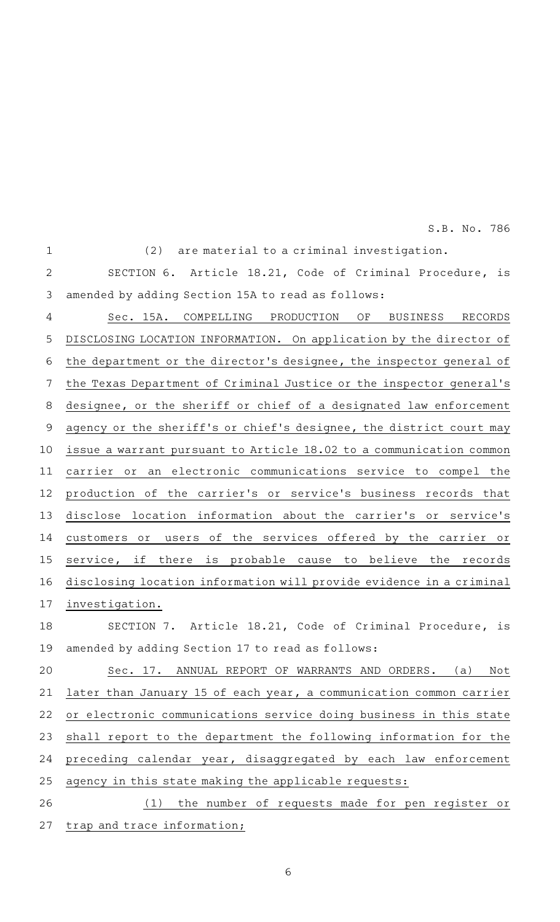S.B. No. 786

| $\mathbf 1$    | (2)<br>are material to a criminal investigation.                          |
|----------------|---------------------------------------------------------------------------|
| $\overline{2}$ | Article 18.21, Code of Criminal Procedure,<br>SECTION 6.<br>is            |
| 3              | amended by adding Section 15A to read as follows:                         |
| 4              | Sec. 15A.<br>COMPELLING<br>PRODUCTION<br>RECORDS<br>ΟF<br><b>BUSINESS</b> |
| 5              | DISCLOSING LOCATION INFORMATION. On application by the director of        |
| 6              | the department or the director's designee, the inspector general of       |
| 7              | the Texas Department of Criminal Justice or the inspector general's       |
| 8              | designee, or the sheriff or chief of a designated law enforcement         |
| $\overline{9}$ | agency or the sheriff's or chief's designee, the district court may       |
| 10             | issue a warrant pursuant to Article 18.02 to a communication common       |
| 11             | carrier or an electronic communications service to compel the             |
| 12             | production of the carrier's or service's business records that            |
| 13             | location information about the carrier's or service's<br>disclose         |
| 14             | the services offered by the carrier or<br>оf<br>customers or<br>users     |
| 15             | service, if<br>is<br>probable cause to believe<br>the<br>there<br>records |
| 16             | disclosing location information will provide evidence in a criminal       |
| 17             | investigation.                                                            |
| 18             | SECTION 7. Article 18.21, Code of Criminal Procedure, is                  |
| 19             | amended by adding Section 17 to read as follows:                          |
| 20             | Sec. 17. ANNUAL REPORT OF WARRANTS AND ORDERS.<br>(a)<br>Not              |
| 21             | later than January 15 of each year, a communication common carrier        |
| 22             | or electronic communications service doing business in this state         |
| 23             | shall report to the department the following information for the          |
| 24             | preceding calendar year, disaggregated by each law enforcement            |
| 25             | agency in this state making the applicable requests:                      |
| 26             | the number of requests made for pen register or<br>(1)                    |
| 27             | trap and trace information;                                               |
|                |                                                                           |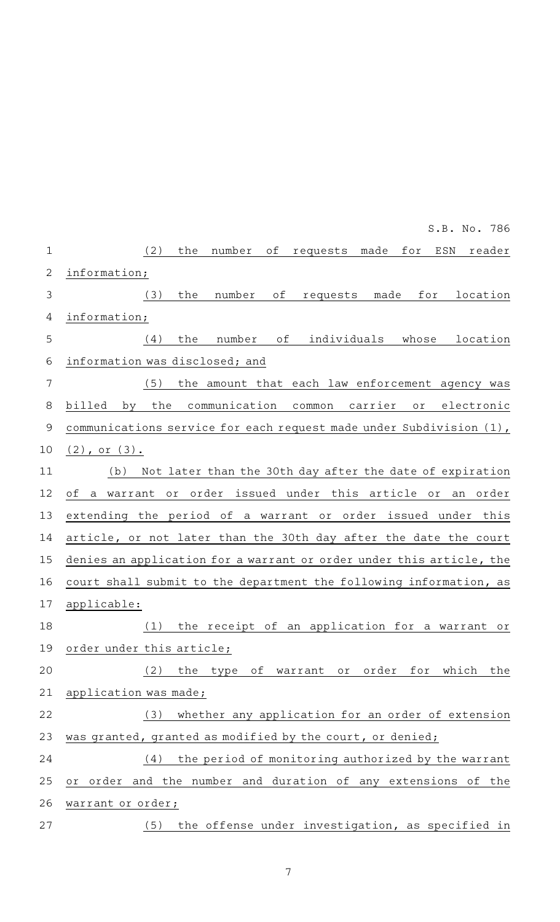|             | S.B. No. 786                                                                              |
|-------------|-------------------------------------------------------------------------------------------|
| $\mathbf 1$ | (2)<br>the<br>requests made for<br>ESN<br>number<br>оf<br>reader                          |
| 2           | information;                                                                              |
| 3           | number<br>(3)<br>the<br>оf<br>requests<br>made<br>for<br>location                         |
| 4           | information;                                                                              |
| 5           | number<br>of<br>individuals whose<br>(4)<br>the<br>location                               |
| 6           | information was disclosed; and                                                            |
| 7           | (5)<br>the amount that each law enforcement agency was                                    |
| 8           | the<br>communication<br>carrier<br>billed<br>electronic<br>by<br>common<br>O <sub>T</sub> |
| $\mathsf 9$ | communications service for each request made under Subdivision (1),                       |
| 10          | $(2)$ , or $(3)$ .                                                                        |
| 11          | Not later than the 30th day after the date of expiration<br>(b)                           |
| 12          | warrant or order issued under this article or<br>of a<br>an order                         |
| 13          | extending the period of a warrant or order issued under this                              |
| 14          | article, or not later than the 30th day after the date the court                          |
| 15          | denies an application for a warrant or order under this article, the                      |
| 16          | court shall submit to the department the following information, as                        |
| 17          | applicable:                                                                               |
| 18          | the receipt of an application for a warrant or<br>(1)                                     |
| 19          | order under this article;                                                                 |
| 20          | the type of warrant or order for which the<br>(2)                                         |
| 21          | application was made;                                                                     |
| 22          | (3) whether any application for an order of extension                                     |
| 23          | was granted, granted as modified by the court, or denied;                                 |
| 24          | the period of monitoring authorized by the warrant<br>(4)                                 |
| 25          | or order and the number and duration of any extensions of the                             |
| 26          | warrant or order;                                                                         |
| 27          | the offense under investigation, as specified in<br>(5)                                   |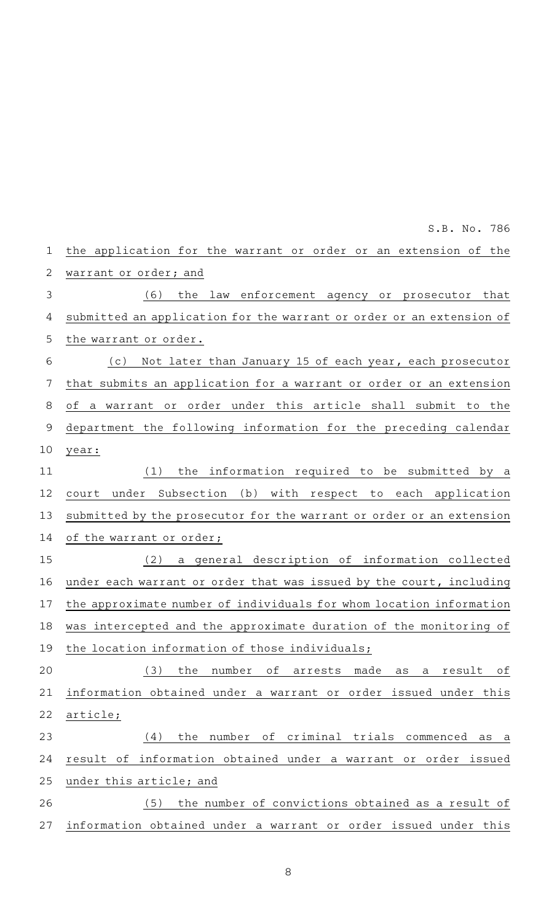the application for the warrant or order or an extension of the warrant or order; and (6) the law enforcement agency or prosecutor that submitted an application for the warrant or order or an extension of the warrant or order. (c) Not later than January 15 of each year, each prosecutor that submits an application for a warrant or order or an extension of a warrant or order under this article shall submit to the department the following information for the preceding calendar year:  $(1)$  the information required to be submitted by a court under Subsection (b) with respect to each application submitted by the prosecutor for the warrant or order or an extension of the warrant or order; (2) a general description of information collected under each warrant or order that was issued by the court, including the approximate number of individuals for whom location information was intercepted and the approximate duration of the monitoring of the location information of those individuals; (3) the number of arrests made as a result of information obtained under a warrant or order issued under this article;  $(4)$  the number of criminal trials commenced as a result of information obtained under a warrant or order issued under this article; and (5) the number of convictions obtained as a result of information obtained under a warrant or order issued under this 1 2 3 4 5 6 7 8 9 10 11 12 13 14 15 16 17 18 19 20 21 22 23 24 25 26 27

S.B. No. 786